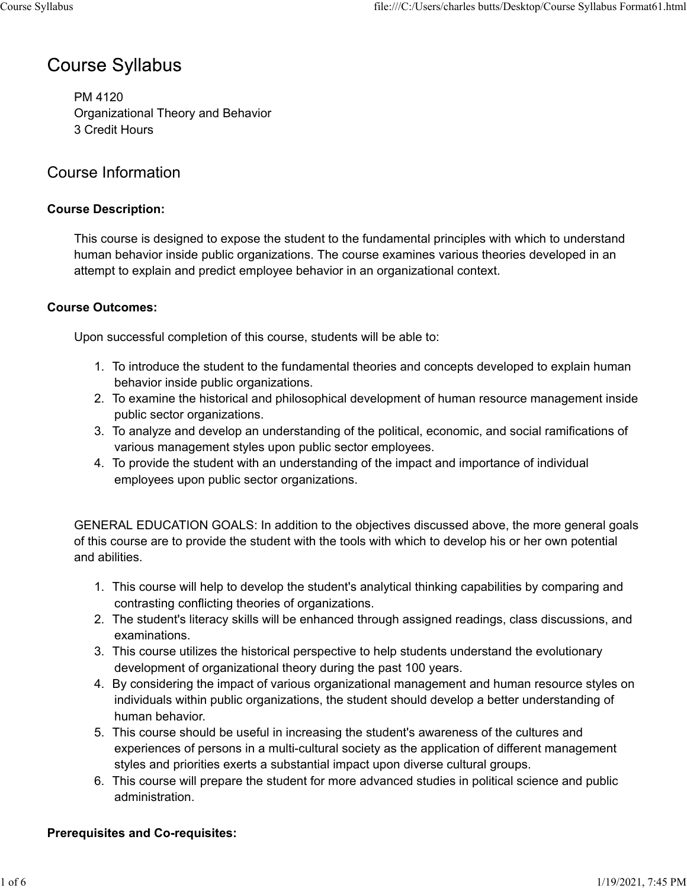# **Course Syllabus**

PM 4120 Organizational Theory and Behavior 3 Credit Hours

# Course Information

### **Course Description:**

This course is designed to expose the student to the fundamental principles with which to understand human behavior inside public organizations. The course examines various theories developed in an attempt to explain and predict employee behavior in an organizational context.

### **Course Outcomes:**

Upon successful completion of this course, students will be able to:

- 1. To introduce the student to the fundamental theories and concepts developed to explain human behavior inside public organizations.
- 2. To examine the historical and philosophical development of human resource management inside public sector organizations.
- 3. To analyze and develop an understanding of the political, economic, and social ramifications of various management styles upon public sector employees.
- 4. To provide the student with an understanding of the impact and importance of individual employees upon public sector organizations.

GENERAL EDUCATION GOALS: In addition to the objectives discussed above, the more general goals of this course are to provide the student with the tools with which to develop his or her own potential and abilities.

- 1. This course will help to develop the student's analytical thinking capabilities by comparing and contrasting conflicting theories of organizations.
- 2. The student's literacy skills will be enhanced through assigned readings, class discussions, and examinations.
- 3. This course utilizes the historical perspective to help students understand the evolutionary development of organizational theory during the past 100 years.
- 4. By considering the impact of various organizational management and human resource styles on individuals within public organizations, the student should develop a better understanding of human behavior.
- 5. This course should be useful in increasing the student's awareness of the cultures and experiences of persons in a multi-cultural society as the application of different management styles and priorities exerts a substantial impact upon diverse cultural groups.
- 6. This course will prepare the student for more advanced studies in political science and public administration.

### **Prerequisites and Co-requisites:**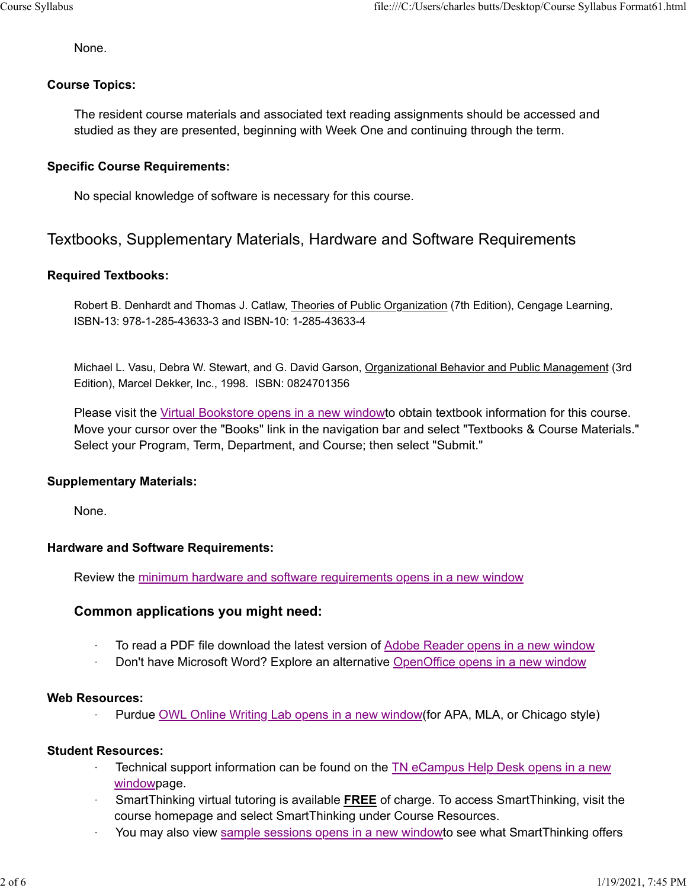None.

### **Course Topics:**

The resident course materials and associated text reading assignments should be accessed and studied as they are presented, beginning with Week One and continuing through the term.

### **Specific Course Requirements:**

No special knowledge of software is necessary for this course.

### Textbooks, Supplementary Materials, Hardware and Software Requirements

### **Required Textbooks:**

Robert B. Denhardt and Thomas J. Catlaw, Theories of Public Organization (7th Edition), Cengage Learning, ISBN-13: 978-1-285-43633-3 and ISBN-10: 1-285-43633-4

Michael L. Vasu, Debra W. Stewart, and G. David Garson, Organizational Behavior and Public Management (3rd Edition), Marcel Dekker, Inc., 1998. ISBN: 0824701356

Please visit the Virtual Bookstore opens in a new windowto obtain textbook information for this course. Move your cursor over the "Books" link in the navigation bar and select "Textbooks & Course Materials." Select your Program, Term, Department, and Course; then select "Submit."

#### **Supplementary Materials:**

None.

#### **Hardware and Software Requirements:**

Review the minimum hardware and software requirements opens in a new window

### **Common applications you might need:**

- **To read a PDF file download the latest version of Adobe Reader opens in a new window**
- Don't have Microsoft Word? Explore an alternative OpenOffice opens in a new window

#### **Web Resources:**

Purdue OWL Online Writing Lab opens in a new window(for APA, MLA, or Chicago style)

#### **Student Resources:**

- Technical support information can be found on the TN eCampus Help Desk opens in a new windowpage.
- ꞏ SmartThinking virtual tutoring is available **FREE** of charge. To access SmartThinking, visit the course homepage and select SmartThinking under Course Resources.
- You may also view sample sessions opens in a new windowto see what SmartThinking offers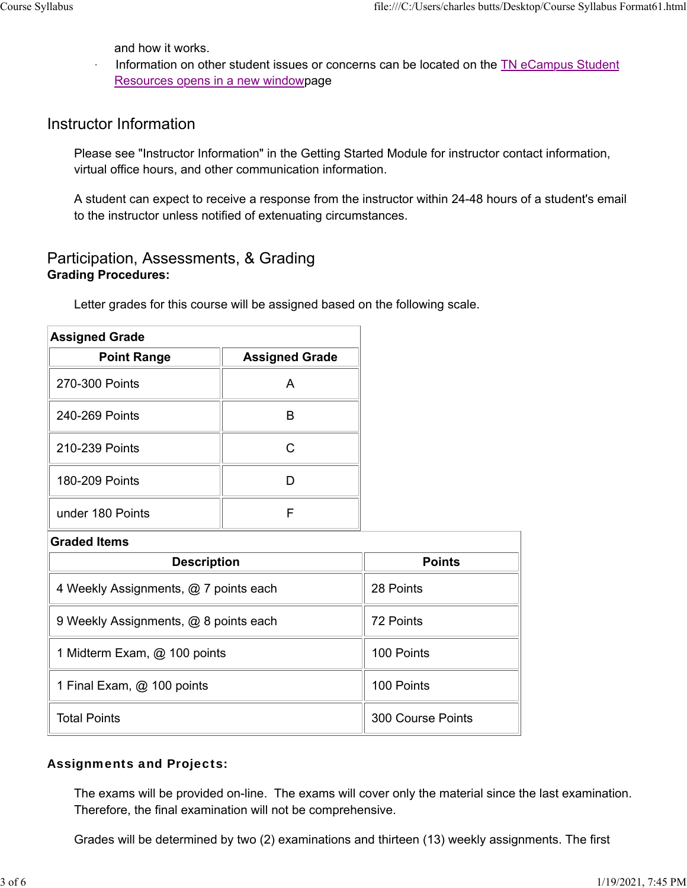and how it works.

Information on other student issues or concerns can be located on the TN eCampus Student Resources opens in a new windowpage

# Instructor Information

Please see "Instructor Information" in the Getting Started Module for instructor contact information, virtual office hours, and other communication information.

A student can expect to receive a response from the instructor within 24-48 hours of a student's email to the instructor unless notified of extenuating circumstances.

### Participation, Assessments, & Grading **Grading Procedures:**

Letter grades for this course will be assigned based on the following scale.

| <b>Assigned Grade</b> |                       |  |
|-----------------------|-----------------------|--|
| <b>Point Range</b>    | <b>Assigned Grade</b> |  |
| 270-300 Points        |                       |  |
| 240-269 Points        |                       |  |
| 210-239 Points        |                       |  |
| 180-209 Points        |                       |  |
| under 180 Points      |                       |  |

| <b>Graded Items</b>                   |                   |  |
|---------------------------------------|-------------------|--|
| <b>Description</b>                    | <b>Points</b>     |  |
| 4 Weekly Assignments, @ 7 points each | 28 Points         |  |
| 9 Weekly Assignments, @ 8 points each | 72 Points         |  |
| 1 Midterm Exam, @ 100 points          | 100 Points        |  |
| 1 Final Exam, @ 100 points            | 100 Points        |  |
| <b>Total Points</b>                   | 300 Course Points |  |

### Assignments and Projects:

The exams will be provided on-line. The exams will cover only the material since the last examination. Therefore, the final examination will not be comprehensive.

Grades will be determined by two (2) examinations and thirteen (13) weekly assignments. The first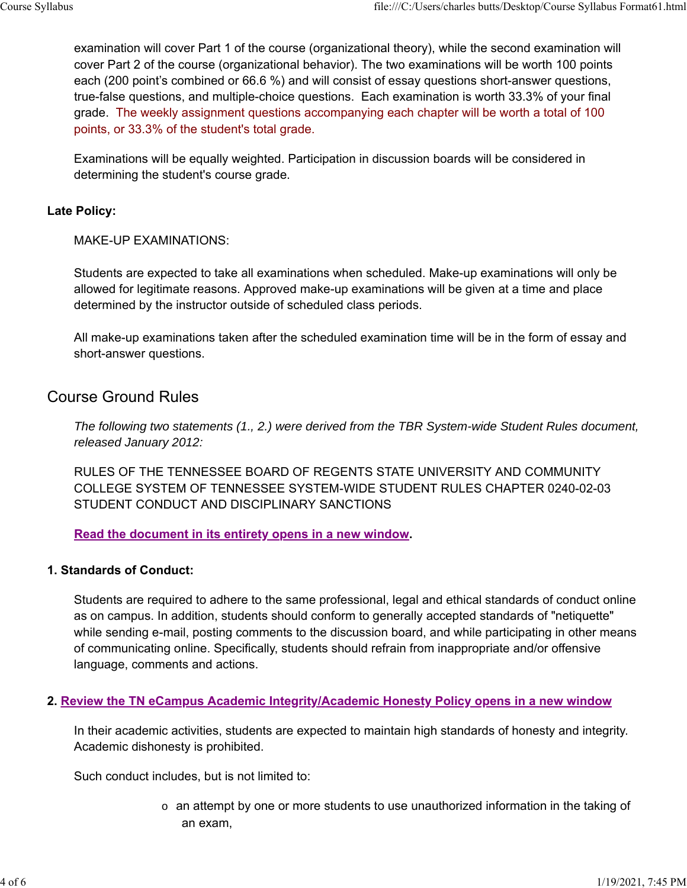examination will cover Part 1 of the course (organizational theory), while the second examination will cover Part 2 of the course (organizational behavior). The two examinations will be worth 100 points each (200 point's combined or 66.6 %) and will consist of essay questions short-answer questions, true-false questions, and multiple-choice questions. Each examination is worth 33.3% of your final grade. The weekly assignment questions accompanying each chapter will be worth a total of 100 points, or 33.3% of the student's total grade.

Examinations will be equally weighted. Participation in discussion boards will be considered in determining the student's course grade.

#### **Late Policy:**

MAKE-UP EXAMINATIONS:

Students are expected to take all examinations when scheduled. Make-up examinations will only be allowed for legitimate reasons. Approved make-up examinations will be given at a time and place determined by the instructor outside of scheduled class periods.

All make-up examinations taken after the scheduled examination time will be in the form of essay and short-answer questions.

### Course Ground Rules

*The following two statements (1., 2.) were derived from the TBR System-wide Student Rules document, released January 2012:* 

RULES OF THE TENNESSEE BOARD OF REGENTS STATE UNIVERSITY AND COMMUNITY COLLEGE SYSTEM OF TENNESSEE SYSTEM-WIDE STUDENT RULES CHAPTER 0240-02-03 STUDENT CONDUCT AND DISCIPLINARY SANCTIONS

**Read the document in its entirety opens in a new window.**

#### **1. Standards of Conduct:**

Students are required to adhere to the same professional, legal and ethical standards of conduct online as on campus. In addition, students should conform to generally accepted standards of "netiquette" while sending e-mail, posting comments to the discussion board, and while participating in other means of communicating online. Specifically, students should refrain from inappropriate and/or offensive language, comments and actions.

#### **2. Review the TN eCampus Academic Integrity/Academic Honesty Policy opens in a new window**

In their academic activities, students are expected to maintain high standards of honesty and integrity. Academic dishonesty is prohibited.

Such conduct includes, but is not limited to:

 $\circ$  an attempt by one or more students to use unauthorized information in the taking of an exam,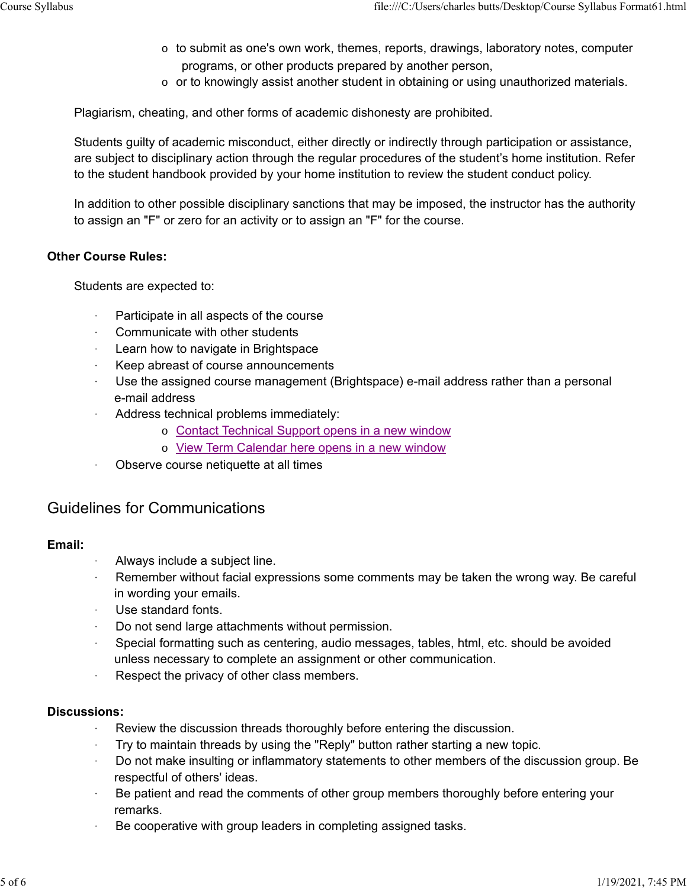- $\circ$  to submit as one's own work, themes, reports, drawings, laboratory notes, computer programs, or other products prepared by another person,
- $\circ$  or to knowingly assist another student in obtaining or using unauthorized materials.

Plagiarism, cheating, and other forms of academic dishonesty are prohibited.

Students guilty of academic misconduct, either directly or indirectly through participation or assistance, are subject to disciplinary action through the regular procedures of the student's home institution. Refer to the student handbook provided by your home institution to review the student conduct policy.

In addition to other possible disciplinary sanctions that may be imposed, the instructor has the authority to assign an "F" or zero for an activity or to assign an "F" for the course.

### **Other Course Rules:**

Students are expected to:

- Participate in all aspects of the course
- ꞏ Communicate with other students
- Learn how to navigate in Brightspace
- ꞏ Keep abreast of course announcements
- Use the assigned course management (Brightspace) e-mail address rather than a personal e-mail address
- Address technical problems immediately:
	- o Contact Technical Support opens in a new window
	- o View Term Calendar here opens in a new window
- ꞏ Observe course netiquette at all times

### Guidelines for Communications

### **Email:**

- ꞏ Always include a subject line.
- Remember without facial expressions some comments may be taken the wrong way. Be careful in wording your emails.
- Use standard fonts.
- Do not send large attachments without permission.
- Special formatting such as centering, audio messages, tables, html, etc. should be avoided unless necessary to complete an assignment or other communication.
- Respect the privacy of other class members.

### **Discussions:**

- ꞏ Review the discussion threads thoroughly before entering the discussion.
- ꞏ Try to maintain threads by using the "Reply" button rather starting a new topic.
- ꞏ Do not make insulting or inflammatory statements to other members of the discussion group. Be respectful of others' ideas.
- Be patient and read the comments of other group members thoroughly before entering your remarks.
- ꞏ Be cooperative with group leaders in completing assigned tasks.